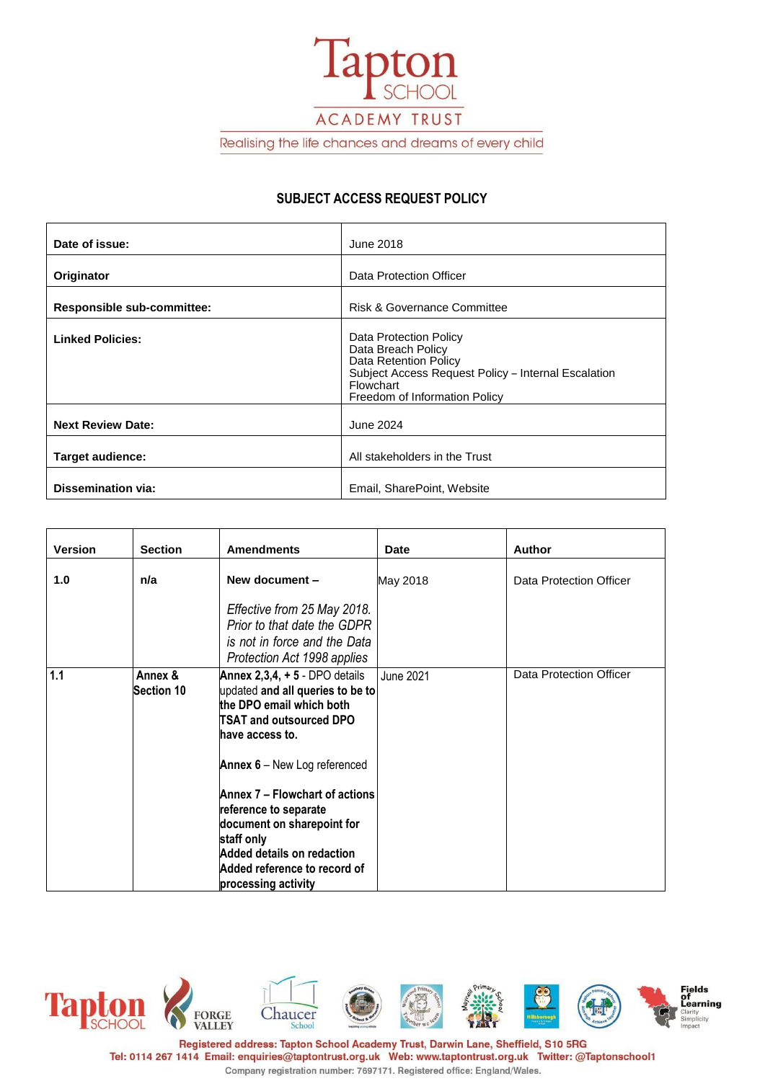

Realising the life chances and dreams of every child

## **SUBJECT ACCESS REQUEST POLICY**

| Date of issue:             | June 2018                                                                                                                                                                  |  |
|----------------------------|----------------------------------------------------------------------------------------------------------------------------------------------------------------------------|--|
| Originator                 | Data Protection Officer                                                                                                                                                    |  |
| Responsible sub-committee: | <b>Risk &amp; Governance Committee</b>                                                                                                                                     |  |
| <b>Linked Policies:</b>    | Data Protection Policy<br>Data Breach Policy<br>Data Retention Policy<br>Subject Access Request Policy - Internal Escalation<br>Flowchart<br>Freedom of Information Policy |  |
| <b>Next Review Date:</b>   | June 2024                                                                                                                                                                  |  |
| Target audience:           | All stakeholders in the Trust                                                                                                                                              |  |
| <b>Dissemination via:</b>  | Email, SharePoint, Website                                                                                                                                                 |  |

| <b>Version</b> | <b>Section</b>               | <b>Amendments</b>                                                                                                                                                                                                                                                                    | Date             | <b>Author</b>           |
|----------------|------------------------------|--------------------------------------------------------------------------------------------------------------------------------------------------------------------------------------------------------------------------------------------------------------------------------------|------------------|-------------------------|
| 1.0            | n/a                          | New document -                                                                                                                                                                                                                                                                       | May 2018         | Data Protection Officer |
|                |                              | Effective from 25 May 2018.<br>Prior to that date the GDPR<br>is not in force and the Data<br>Protection Act 1998 applies                                                                                                                                                            |                  |                         |
| 1.1            | Annex &<br><b>Section 10</b> | Annex $2,3,4, +5$ - DPO details<br>updated and all queries to be to<br>the DPO email which both<br>TSAT and outsourced DPO<br>have access to.<br>Annex 6 - New Log referenced<br>Annex 7 – Flowchart of actions<br>reference to separate<br>document on sharepoint for<br>staff only | <b>June 2021</b> | Data Protection Officer |
|                |                              | Added details on redaction<br>Added reference to record of<br>processing activity                                                                                                                                                                                                    |                  |                         |

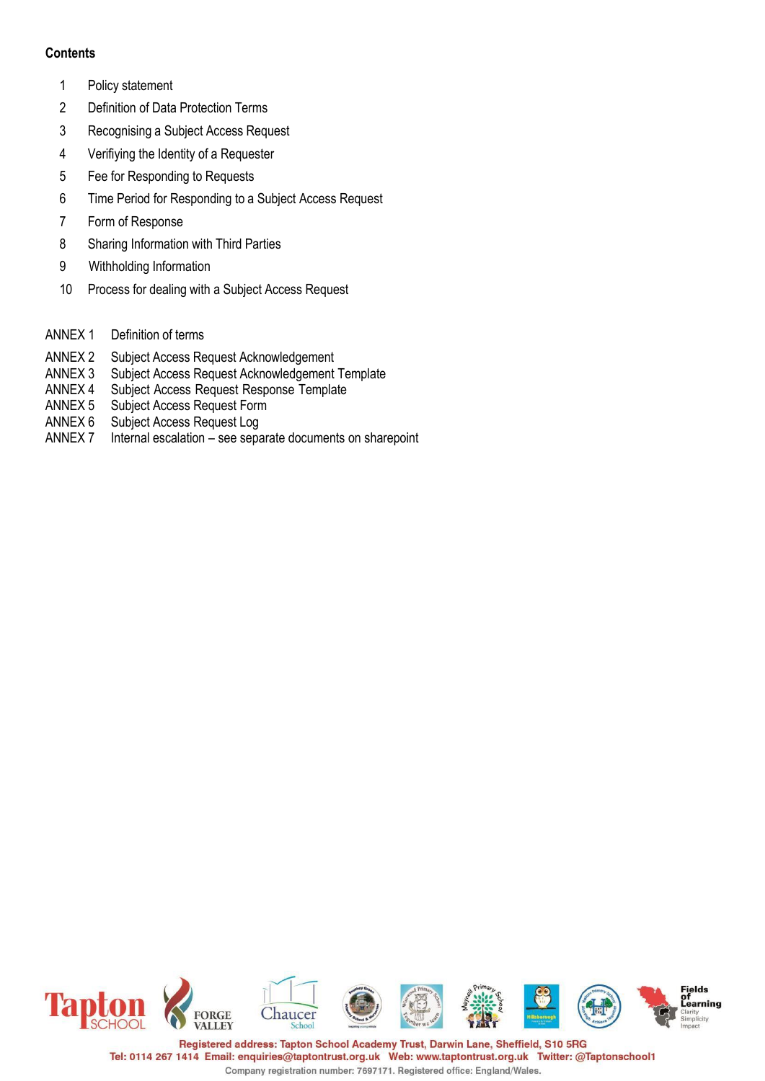## **Contents**

- 1 Policy statement
- 2 Definition of Data Protection Terms
- 3 Recognising a Subject Access Request
- 4 Verifiying the Identity of a Requester
- 5 Fee for Responding to Requests
- 6 Time Period for Responding to a Subject Access Request
- 7 Form of Response
- 8 Sharing Information with Third Parties
- 9 Withholding Information
- 10 Process for dealing with a Subject Access Request
- ANNEX 1 Definition of terms
- 
- ANNEX 2 Subject Access Request Acknowledgement<br>ANNEX 3 Subject Access Request Acknowledgement Subject Access Request Acknowledgement Template
- ANNEX 4 Subject Access Request Response Template
- ANNEX 5 Subject Access Request Form
- ANNEX 6 Subject Access Request Log
- ANNEX 7 Internal escalation see separate documents on sharepoint

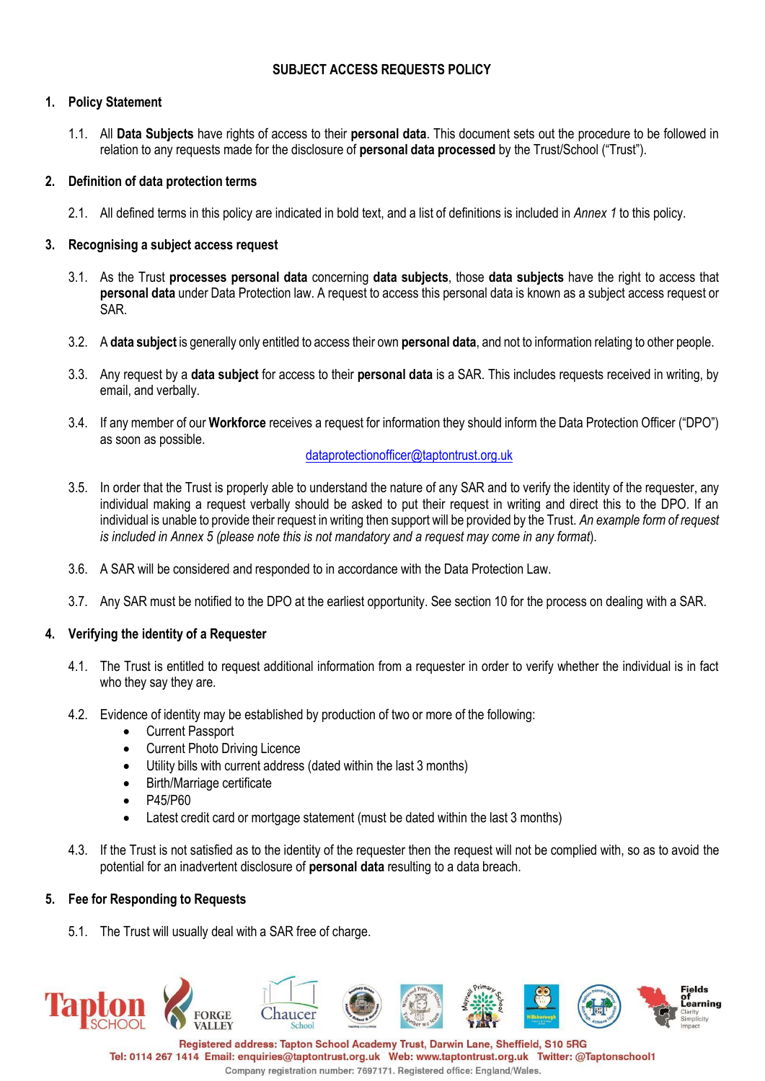## **SUBJECT ACCESS REQUESTS POLICY**

## **1. Policy Statement**

1.1. All **Data Subjects** have rights of access to their **personal data**. This document sets out the procedure to be followed in relation to any requests made for the disclosure of **personal data processed** by the Trust/School ("Trust").

### **2. Definition of data protection terms**

2.1. All defined terms in this policy are indicated in bold text, and a list of definitions is included in *Annex 1* to this policy.

### **3. Recognising a subject access request**

- 3.1. As the Trust **processes personal data** concerning **data subjects**, those **data subjects** have the right to access that **personal data** under Data Protection law. A request to access this personal data is known as a subject access request or SAR.
- 3.2. A **data subject** is generally only entitled to access their own **personal data**, and not to information relating to other people.
- 3.3. Any request by a **data subject** for access to their **personal data** is a SAR. This includes requests received in writing, by email, and verbally.
- 3.4. If any member of our **Workforce** receives a request for information they should inform the Data Protection Officer ("DPO") as soon as possible.

## [dataprotectionofficer@taptontrust.org.uk](mailto:dataprotectionofficer@taptontrust.org.uk)

- 3.5. In order that the Trust is properly able to understand the nature of any SAR and to verify the identity of the requester, any individual making a request verbally should be asked to put their request in writing and direct this to the DPO. If an individual is unable to provide their request in writing then support will be provided by the Trust. *An example form of request is included in Annex 5 (please note this is not mandatory and a request may come in any format*).
- 3.6. A SAR will be considered and responded to in accordance with the Data Protection Law.
- 3.7. Any SAR must be notified to the DPO at the earliest opportunity. See section 10 for the process on dealing with a SAR.

## **4. Verifying the identity of a Requester**

- 4.1. The Trust is entitled to request additional information from a requester in order to verify whether the individual is in fact who they say they are.
- 4.2. Evidence of identity may be established by production of two or more of the following:
	- **Current Passport**
	- **Current Photo Driving Licence**
	- Utility bills with current address (dated within the last 3 months)
	- Birth/Marriage certificate
	- P45/P60
	- Latest credit card or mortgage statement (must be dated within the last 3 months)
- 4.3. If the Trust is not satisfied as to the identity of the requester then the request will not be complied with, so as to avoid the potential for an inadvertent disclosure of **personal data** resulting to a data breach.

#### **5. Fee for Responding to Requests**

5.1. The Trust will usually deal with a SAR free of charge.



Tel: 0114 267 1414 Email: enquiries@taptontrust.org.uk Web: www.taptontrust.org.uk Twitter: @Taptonschool1 Company registration number: 7697171. Registered office: England/Wales.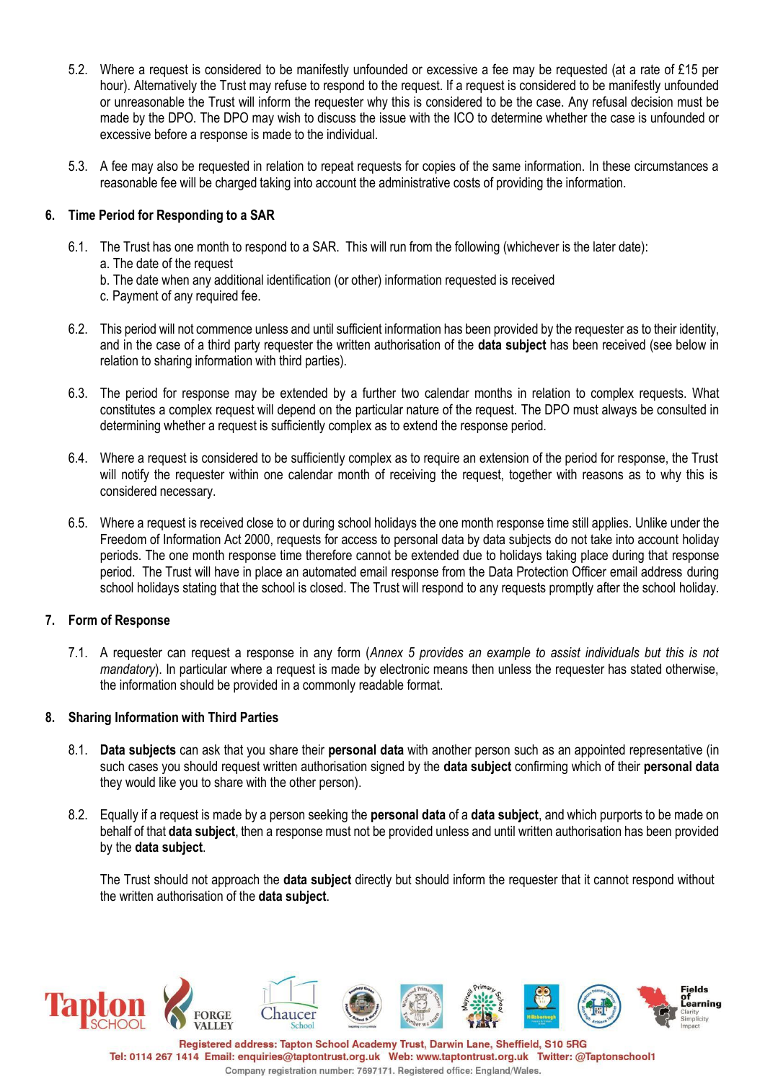- 5.2. Where a request is considered to be manifestly unfounded or excessive a fee may be requested (at a rate of £15 per hour). Alternatively the Trust may refuse to respond to the request. If a request is considered to be manifestly unfounded or unreasonable the Trust will inform the requester why this is considered to be the case. Any refusal decision must be made by the DPO. The DPO may wish to discuss the issue with the ICO to determine whether the case is unfounded or excessive before a response is made to the individual.
- 5.3. A fee may also be requested in relation to repeat requests for copies of the same information. In these circumstances a reasonable fee will be charged taking into account the administrative costs of providing the information.

## **6. Time Period for Responding to a SAR**

- 6.1. The Trust has one month to respond to a SAR. This will run from the following (whichever is the later date): a. The date of the request
	- b. The date when any additional identification (or other) information requested is received
	- c. Payment of any required fee.
- 6.2. This period will not commence unless and until sufficient information has been provided by the requester as to their identity, and in the case of a third party requester the written authorisation of the **data subject** has been received (see below in relation to sharing information with third parties).
- 6.3. The period for response may be extended by a further two calendar months in relation to complex requests. What constitutes a complex request will depend on the particular nature of the request. The DPO must always be consulted in determining whether a request is sufficiently complex as to extend the response period.
- 6.4. Where a request is considered to be sufficiently complex as to require an extension of the period for response, the Trust will notify the requester within one calendar month of receiving the request, together with reasons as to why this is considered necessary.
- 6.5. Where a request is received close to or during school holidays the one month response time still applies. Unlike under the Freedom of Information Act 2000, requests for access to personal data by data subjects do not take into account holiday periods. The one month response time therefore cannot be extended due to holidays taking place during that response period. The Trust will have in place an automated email response from the Data Protection Officer email address during school holidays stating that the school is closed. The Trust will respond to any requests promptly after the school holiday.

## **7. Form of Response**

7.1. A requester can request a response in any form (*Annex 5 provides an example to assist individuals but this is not mandatory*). In particular where a request is made by electronic means then unless the requester has stated otherwise, the information should be provided in a commonly readable format.

## **8. Sharing Information with Third Parties**

- 8.1. **Data subjects** can ask that you share their **personal data** with another person such as an appointed representative (in such cases you should request written authorisation signed by the **data subject** confirming which of their **personal data** they would like you to share with the other person).
- 8.2. Equally if a request is made by a person seeking the **personal data** of a **data subject**, and which purports to be made on behalf of that **data subject**, then a response must not be provided unless and until written authorisation has been provided by the **data subject**.

The Trust should not approach the **data subject** directly but should inform the requester that it cannot respond without the written authorisation of the **data subject**.

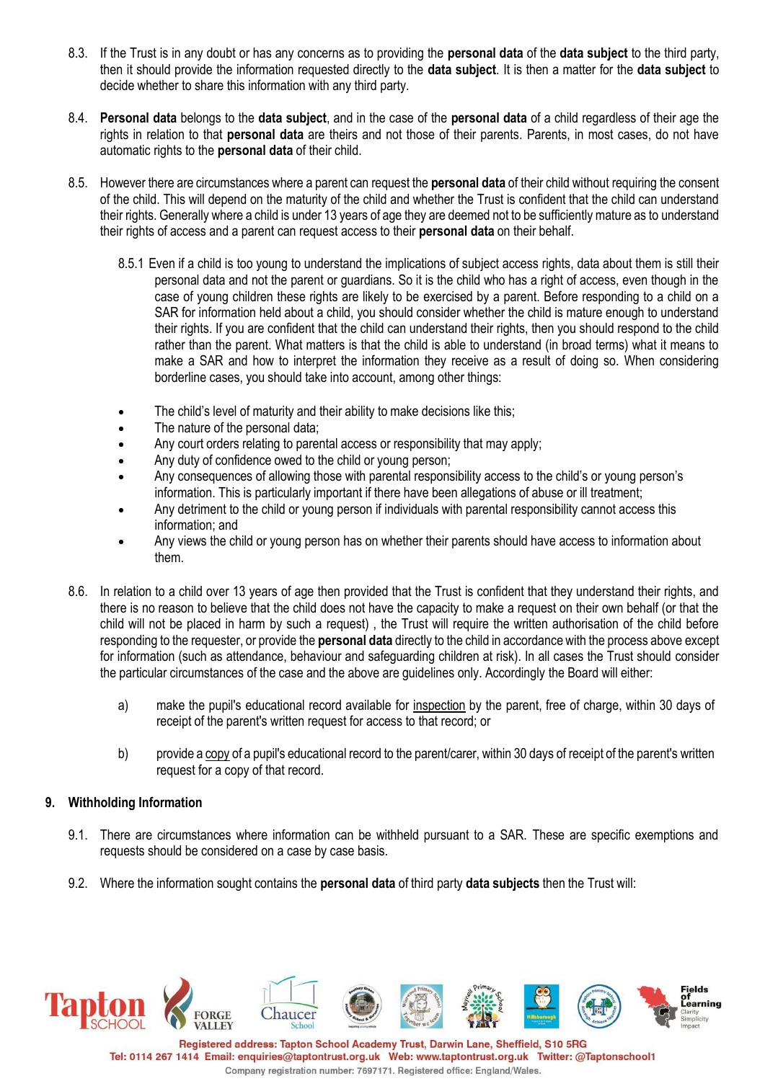- 8.3. If the Trust is in any doubt or has any concerns as to providing the **personal data** of the **data subject** to the third party, then it should provide the information requested directly to the **data subject**. It is then a matter for the **data subject** to decide whether to share this information with any third party.
- 8.4. **Personal data** belongs to the **data subject**, and in the case of the **personal data** of a child regardless of their age the rights in relation to that **personal data** are theirs and not those of their parents. Parents, in most cases, do not have automatic rights to the **personal data** of their child.
- 8.5. However there are circumstances where a parent can request the **personal data** of their child without requiring the consent of the child. This will depend on the maturity of the child and whether the Trust is confident that the child can understand their rights. Generally where a child is under 13 years of age they are deemed not to be sufficiently mature as to understand their rights of access and a parent can request access to their **personal data** on their behalf.
	- 8.5.1 Even if a child is too young to understand the implications of subject access rights, data about them is still their personal data and not the parent or guardians. So it is the child who has a right of access, even though in the case of young children these rights are likely to be exercised by a parent. Before responding to a child on a SAR for information held about a child, you should consider whether the child is mature enough to understand their rights. If you are confident that the child can understand their rights, then you should respond to the child rather than the parent. What matters is that the child is able to understand (in broad terms) what it means to make a SAR and how to interpret the information they receive as a result of doing so. When considering borderline cases, you should take into account, among other things:
	- The child's level of maturity and their ability to make decisions like this;
	- The nature of the personal data;
	- Any court orders relating to parental access or responsibility that may apply;
	- Any duty of confidence owed to the child or young person;
	- Any consequences of allowing those with parental responsibility access to the child's or young person's information. This is particularly important if there have been allegations of abuse or ill treatment;
	- Any detriment to the child or young person if individuals with parental responsibility cannot access this information; and
	- Any views the child or young person has on whether their parents should have access to information about them.
- 8.6. In relation to a child over 13 years of age then provided that the Trust is confident that they understand their rights, and there is no reason to believe that the child does not have the capacity to make a request on their own behalf (or that the child will not be placed in harm by such a request) , the Trust will require the written authorisation of the child before responding to the requester, or provide the **personal data** directly to the child in accordance with the process above except for information (such as attendance, behaviour and safeguarding children at risk). In all cases the Trust should consider the particular circumstances of the case and the above are guidelines only. Accordingly the Board will either:
	- a) make the pupil's educational record available for inspection by the parent, free of charge, within 30 days of receipt of the parent's written request for access to that record; or
	- b) provide a copy of a pupil's educational record to the parent/carer, within 30 days of receipt of the parent's written request for a copy of that record.

## **9. Withholding Information**

- 9.1. There are circumstances where information can be withheld pursuant to a SAR. These are specific exemptions and requests should be considered on a case by case basis.
- 9.2. Where the information sought contains the **personal data** of third party **data subjects** then the Trust will:

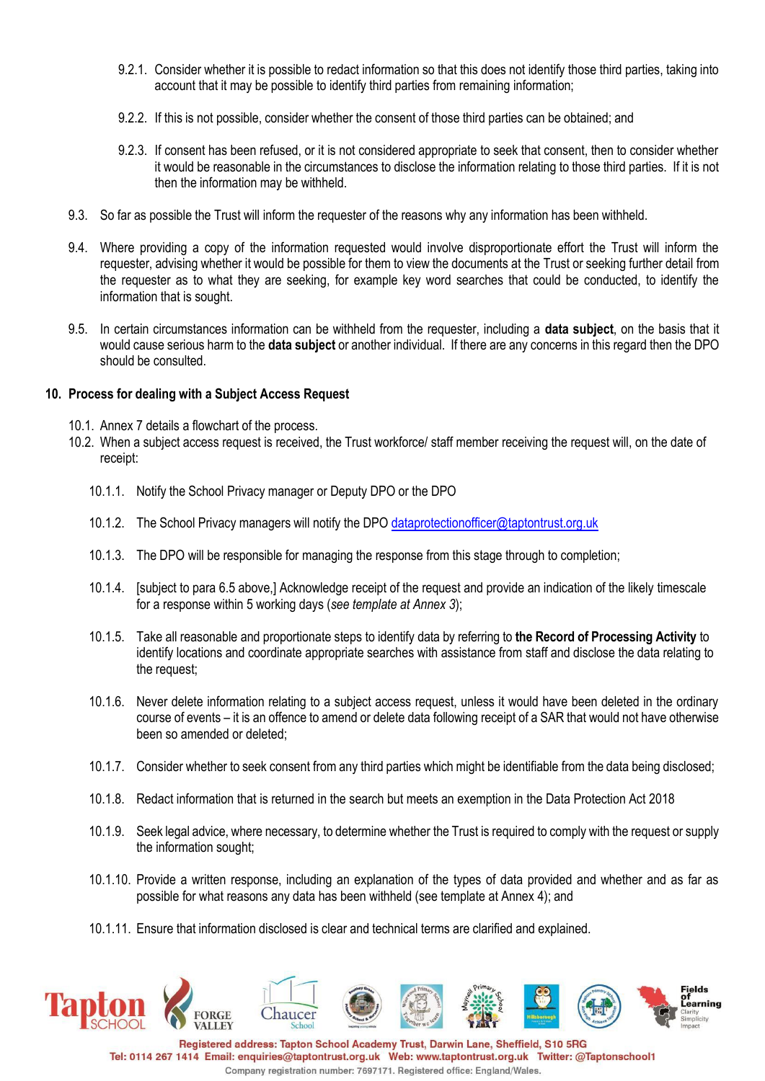- 9.2.1. Consider whether it is possible to redact information so that this does not identify those third parties, taking into account that it may be possible to identify third parties from remaining information;
- 9.2.2. If this is not possible, consider whether the consent of those third parties can be obtained; and
- 9.2.3. If consent has been refused, or it is not considered appropriate to seek that consent, then to consider whether it would be reasonable in the circumstances to disclose the information relating to those third parties. If it is not then the information may be withheld.
- 9.3. So far as possible the Trust will inform the requester of the reasons why any information has been withheld.
- 9.4. Where providing a copy of the information requested would involve disproportionate effort the Trust will inform the requester, advising whether it would be possible for them to view the documents at the Trust or seeking further detail from the requester as to what they are seeking, for example key word searches that could be conducted, to identify the information that is sought.
- 9.5. In certain circumstances information can be withheld from the requester, including a **data subject**, on the basis that it would cause serious harm to the **data subject** or another individual. If there are any concerns in this regard then the DPO should be consulted.

#### **10. Process for dealing with a Subject Access Request**

- 10.1. Annex 7 details a flowchart of the process.
- 10.2. When a subject access request is received, the Trust workforce/ staff member receiving the request will, on the date of receipt:
	- 10.1.1. Notify the School Privacy manager or Deputy DPO or the DPO
	- 10.1.2. The School Privacy managers will notify the DPO [dataprotectionofficer@taptontrust.org.uk](mailto:dataprotectionofficer@taptontrust.org.uk)
	- 10.1.3. The DPO will be responsible for managing the response from this stage through to completion;
	- 10.1.4. [subject to para 6.5 above,] Acknowledge receipt of the request and provide an indication of the likely timescale for a response within 5 working days (*see template at Annex 3*);
	- 10.1.5. Take all reasonable and proportionate steps to identify data by referring to **the Record of Processing Activity** to identify locations and coordinate appropriate searches with assistance from staff and disclose the data relating to the request;
	- 10.1.6. Never delete information relating to a subject access request, unless it would have been deleted in the ordinary course of events – it is an offence to amend or delete data following receipt of a SAR that would not have otherwise been so amended or deleted;
	- 10.1.7. Consider whether to seek consent from any third parties which might be identifiable from the data being disclosed;
	- 10.1.8. Redact information that is returned in the search but meets an exemption in the Data Protection Act 2018
	- 10.1.9. Seek legal advice, where necessary, to determine whether the Trust is required to comply with the request or supply the information sought;
	- 10.1.10. Provide a written response, including an explanation of the types of data provided and whether and as far as possible for what reasons any data has been withheld (see template at Annex 4); and
	- 10.1.11. Ensure that information disclosed is clear and technical terms are clarified and explained.



Tel: 0114 267 1414 Email: enquiries@taptontrust.org.uk Web: www.taptontrust.org.uk Twitter: @Taptonschool1 Company registration number: 7697171. Registered office: England/Wales.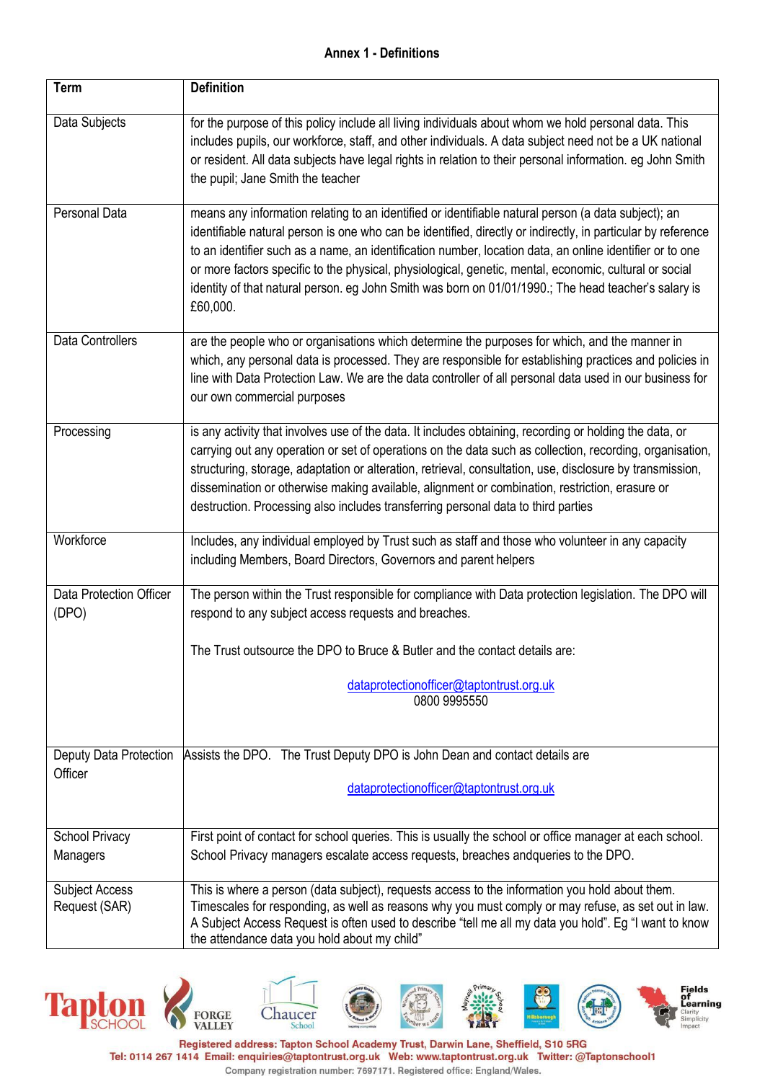# **Annex 1 - Definitions**

| Term                                    | <b>Definition</b>                                                                                                                                                                                                                                                                                                                                                                                                                                                                                                                                             |
|-----------------------------------------|---------------------------------------------------------------------------------------------------------------------------------------------------------------------------------------------------------------------------------------------------------------------------------------------------------------------------------------------------------------------------------------------------------------------------------------------------------------------------------------------------------------------------------------------------------------|
| Data Subjects                           | for the purpose of this policy include all living individuals about whom we hold personal data. This<br>includes pupils, our workforce, staff, and other individuals. A data subject need not be a UK national<br>or resident. All data subjects have legal rights in relation to their personal information. eg John Smith<br>the pupil; Jane Smith the teacher                                                                                                                                                                                              |
| Personal Data                           | means any information relating to an identified or identifiable natural person (a data subject); an<br>identifiable natural person is one who can be identified, directly or indirectly, in particular by reference<br>to an identifier such as a name, an identification number, location data, an online identifier or to one<br>or more factors specific to the physical, physiological, genetic, mental, economic, cultural or social<br>identity of that natural person. eg John Smith was born on 01/01/1990.; The head teacher's salary is<br>£60,000. |
| <b>Data Controllers</b>                 | are the people who or organisations which determine the purposes for which, and the manner in<br>which, any personal data is processed. They are responsible for establishing practices and policies in<br>line with Data Protection Law. We are the data controller of all personal data used in our business for<br>our own commercial purposes                                                                                                                                                                                                             |
| Processing                              | is any activity that involves use of the data. It includes obtaining, recording or holding the data, or<br>carrying out any operation or set of operations on the data such as collection, recording, organisation,<br>structuring, storage, adaptation or alteration, retrieval, consultation, use, disclosure by transmission,<br>dissemination or otherwise making available, alignment or combination, restriction, erasure or<br>destruction. Processing also includes transferring personal data to third parties                                       |
| Workforce                               | Includes, any individual employed by Trust such as staff and those who volunteer in any capacity<br>including Members, Board Directors, Governors and parent helpers                                                                                                                                                                                                                                                                                                                                                                                          |
| <b>Data Protection Officer</b><br>(DPO) | The person within the Trust responsible for compliance with Data protection legislation. The DPO will<br>respond to any subject access requests and breaches.                                                                                                                                                                                                                                                                                                                                                                                                 |
|                                         | The Trust outsource the DPO to Bruce & Butler and the contact details are:                                                                                                                                                                                                                                                                                                                                                                                                                                                                                    |
|                                         | dataprotectionofficer@taptontrust.org.uk<br>0800 9995550                                                                                                                                                                                                                                                                                                                                                                                                                                                                                                      |
| Deputy Data Protection                  | Assists the DPO. The Trust Deputy DPO is John Dean and contact details are                                                                                                                                                                                                                                                                                                                                                                                                                                                                                    |
| Officer                                 | dataprotectionofficer@taptontrust.org.uk                                                                                                                                                                                                                                                                                                                                                                                                                                                                                                                      |
| <b>School Privacy</b>                   | First point of contact for school queries. This is usually the school or office manager at each school.                                                                                                                                                                                                                                                                                                                                                                                                                                                       |
| Managers                                | School Privacy managers escalate access requests, breaches andqueries to the DPO.                                                                                                                                                                                                                                                                                                                                                                                                                                                                             |
| <b>Subject Access</b><br>Request (SAR)  | This is where a person (data subject), requests access to the information you hold about them.<br>Timescales for responding, as well as reasons why you must comply or may refuse, as set out in law.<br>A Subject Access Request is often used to describe "tell me all my data you hold". Eg "I want to know<br>the attendance data you hold about my child"                                                                                                                                                                                                |



Tel: 0114 267 1414 Email: enquiries@taptontrust.org.uk Web: www.taptontrust.org.uk Twitter: @Taptonschool1 Company registration number: 7697171. Registered office: England/Wales.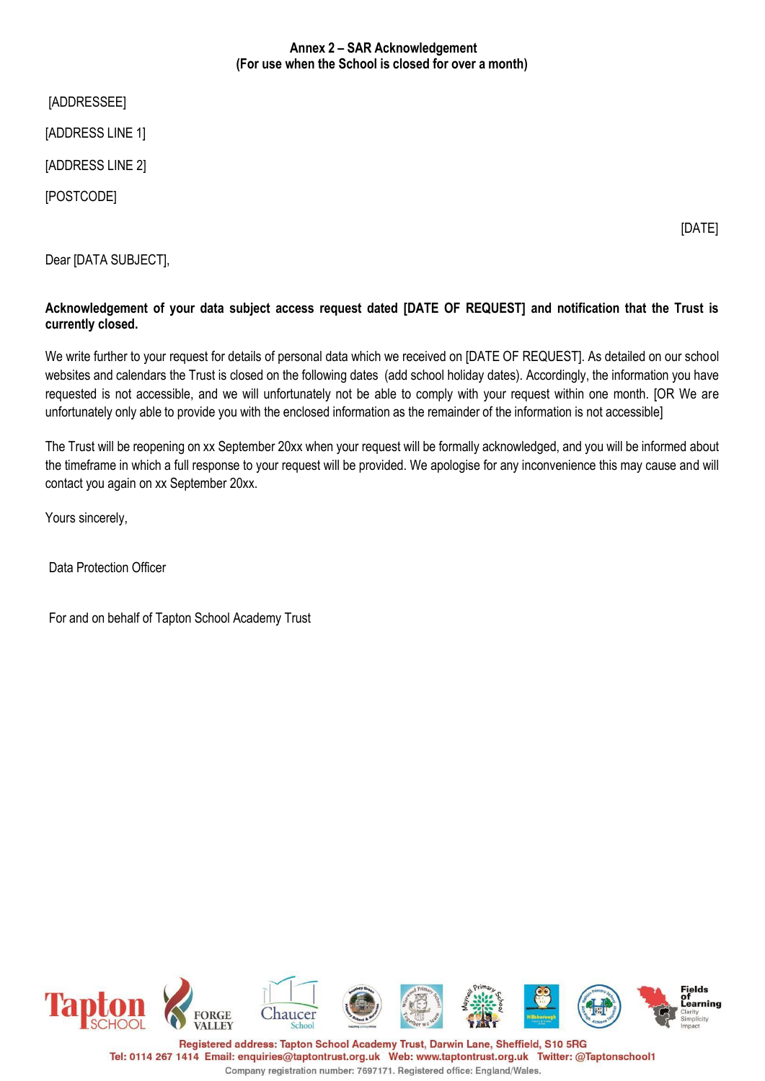## **Annex 2 – SAR Acknowledgement (For use when the School is closed for over a month)**

[ADDRESSEE]

[ADDRESS LINE 1]

[ADDRESS LINE 2]

[POSTCODE]

[DATE]

Dear [DATA SUBJECT],

# **Acknowledgement of your data subject access request dated [DATE OF REQUEST] and notification that the Trust is currently closed.**

We write further to your request for details of personal data which we received on [DATE OF REQUEST]. As detailed on our school websites and calendars the Trust is closed on the following dates (add school holiday dates). Accordingly, the information you have requested is not accessible, and we will unfortunately not be able to comply with your request within one month. [OR We are unfortunately only able to provide you with the enclosed information as the remainder of the information is not accessible]

The Trust will be reopening on xx September 20xx when your request will be formally acknowledged, and you will be informed about the timeframe in which a full response to your request will be provided. We apologise for any inconvenience this may cause and will contact you again on xx September 20xx.

Yours sincerely,

Data Protection Officer

For and on behalf of Tapton School Academy Trust

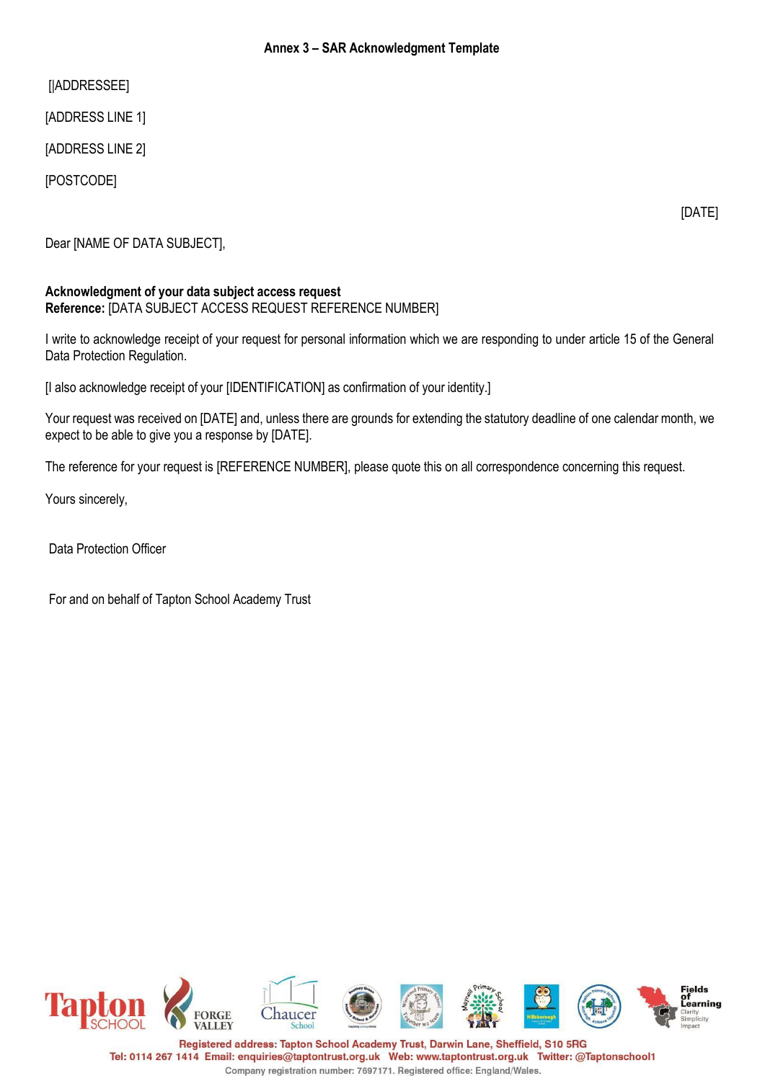## **Annex 3 – SAR Acknowledgment Template**

[|ADDRESSEE]

[ADDRESS LINE 1]

[ADDRESS LINE 2]

[POSTCODE]

[DATE]

Dear [NAME OF DATA SUBJECT],

#### **Acknowledgment of your data subject access request Reference:** [DATA SUBJECT ACCESS REQUEST REFERENCE NUMBER]

I write to acknowledge receipt of your request for personal information which we are responding to under article 15 of the General Data Protection Regulation.

[I also acknowledge receipt of your [IDENTIFICATION] as confirmation of your identity.]

Your request was received on [DATE] and, unless there are grounds for extending the statutory deadline of one calendar month, we expect to be able to give you a response by [DATE].

The reference for your request is [REFERENCE NUMBER], please quote this on all correspondence concerning this request.

Yours sincerely,

Data Protection Officer

For and on behalf of Tapton School Academy Trust

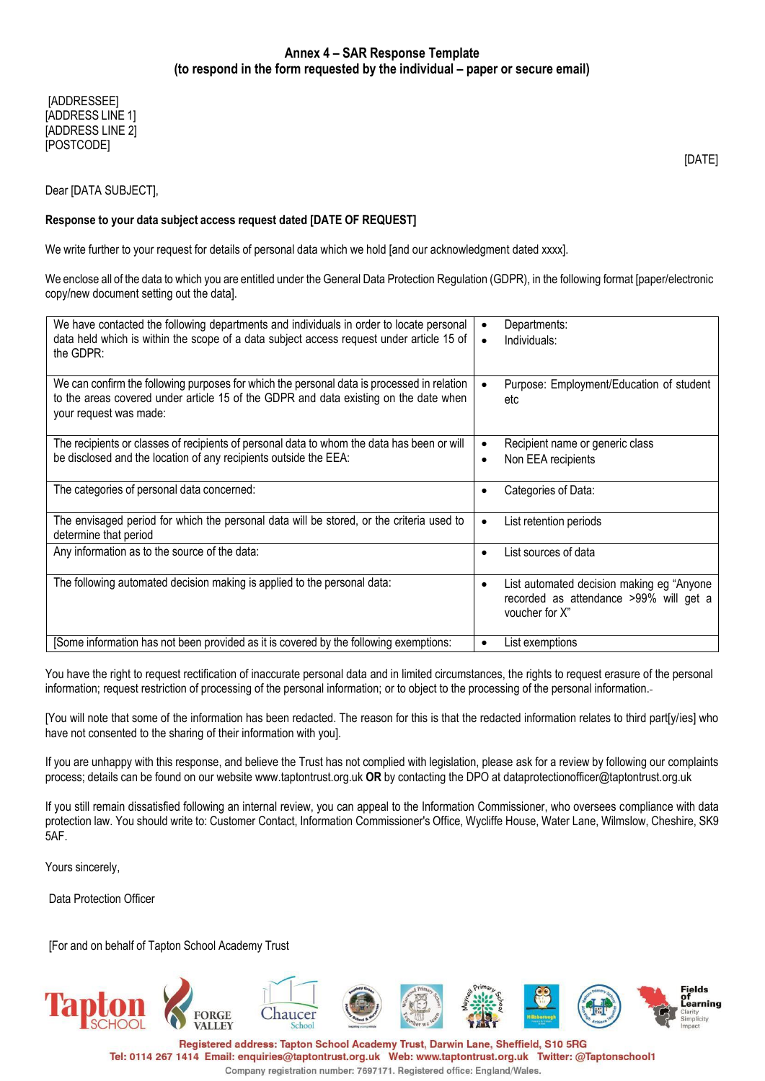[ADDRESSEE] [ADDRESS LINE 1] [ADDRESS LINE 2] [POSTCODE]

Dear [DATA SUBJECT],

#### **Response to your data subject access request dated [DATE OF REQUEST]**

We write further to your request for details of personal data which we hold [and our acknowledgment dated xxxx].

We enclose all of the data to which you are entitled under the General Data Protection Regulation (GDPR), in the following format [paper/electronic copy/new document setting out the data].

| We have contacted the following departments and individuals in order to locate personal<br>data held which is within the scope of a data subject access request under article 15 of<br>the GDPR:             | Departments:<br>Individuals:<br>$\bullet$                                                              |  |
|--------------------------------------------------------------------------------------------------------------------------------------------------------------------------------------------------------------|--------------------------------------------------------------------------------------------------------|--|
| We can confirm the following purposes for which the personal data is processed in relation<br>to the areas covered under article 15 of the GDPR and data existing on the date when<br>your request was made: | Purpose: Employment/Education of student<br>etc                                                        |  |
| The recipients or classes of recipients of personal data to whom the data has been or will<br>be disclosed and the location of any recipients outside the EEA:                                               | Recipient name or generic class<br>Non EEA recipients<br>٠                                             |  |
| The categories of personal data concerned:                                                                                                                                                                   | Categories of Data:                                                                                    |  |
| The envisaged period for which the personal data will be stored, or the criteria used to<br>determine that period                                                                                            | List retention periods<br>٠                                                                            |  |
| Any information as to the source of the data:                                                                                                                                                                | List sources of data<br>٠                                                                              |  |
| The following automated decision making is applied to the personal data:                                                                                                                                     | List automated decision making eg "Anyone"<br>recorded as attendance >99% will get a<br>voucher for X" |  |
| [Some information has not been provided as it is covered by the following exemptions:                                                                                                                        | List exemptions                                                                                        |  |

You have the right to request rectification of inaccurate personal data and in limited circumstances, the rights to request erasure of the personal information; request restriction of processing of the personal information; or to object to the processing of the personal information.

[You will note that some of the information has been redacted. The reason for this is that the redacted information relates to third part[y/ies] who have not consented to the sharing of their information with you].

If you are unhappy with this response, and believe the Trust has not complied with legislation, please ask for a review by following our complaints process; details can be found on our website [www.taptontrust.org.uk](http://www.taptontrust.org.uk/) **OR** by contacting the DPO at [dataprotectionofficer@taptontrust.org.uk](mailto:dataprotectionofficer@taptontrust.org.uk)

If you still remain dissatisfied following an internal review, you can appeal to the Information Commissioner, who oversees compliance with data protection law. You should write to: Customer Contact, Information Commissioner's Office, Wycliffe House, Water Lane, Wilmslow, Cheshire, SK9 5AF.

Yours sincerely,

Data Protection Officer

[For and on behalf of Tapton School Academy Trust



Registered address: Tapton School Academy Trust, Darwin Lane, Sheffield, S10 5RG Tel: 0114 267 1414 Email: enquiries@taptontrust.org.uk Web: www.taptontrust.org.uk Twitter: @Taptonschool1 Company registration number: 7697171. Registered office: England/Wales.

[DATE]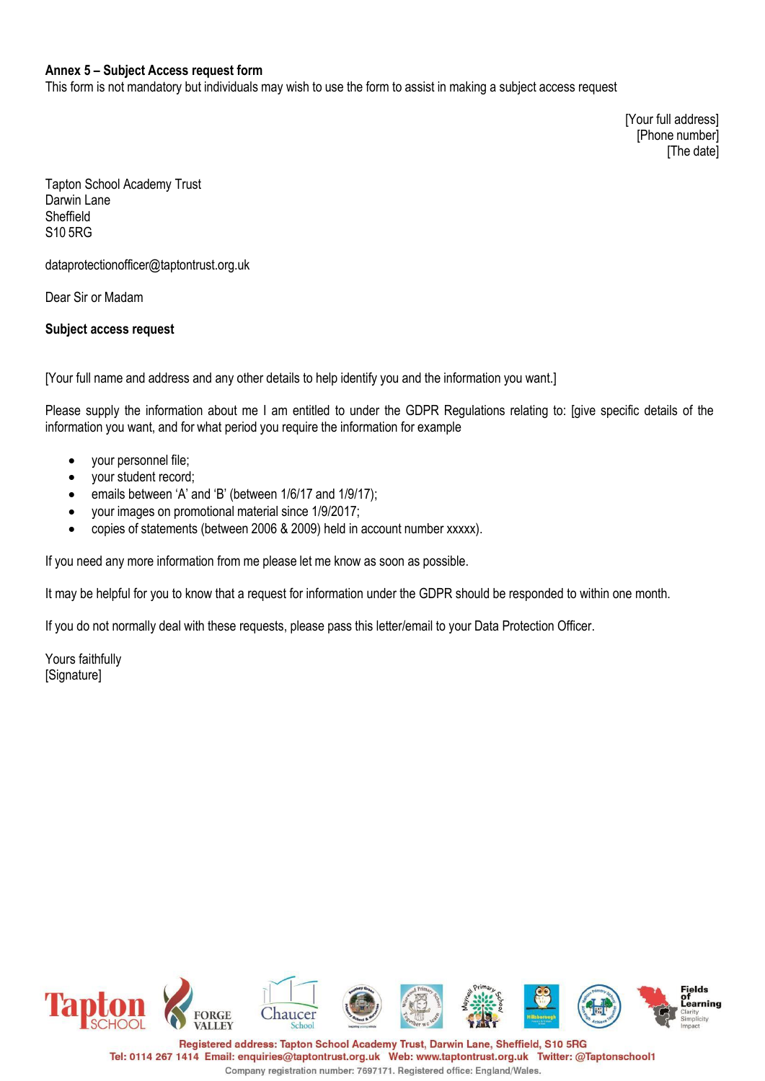### **Annex 5 – Subject Access request form**

This form is not mandatory but individuals may wish to use the form to assist in making a subject access request

[Your full address] [Phone number] [The date]

Tapton School Academy Trust Darwin Lane Sheffield S10 5RG

[dataprotectionofficer@taptontrust.org.uk](mailto:dataprotectionofficer@taptontrust.org.uk)

Dear Sir or Madam

### **Subject access request**

[Your full name and address and any other details to help identify you and the information you want.]

Please supply the information about me I am entitled to under the GDPR Regulations relating to: [give specific details of the information you want, and for what period you require the information for example

- your personnel file;
- your student record;
- emails between 'A' and 'B' (between 1/6/17 and 1/9/17);
- your images on promotional material since 1/9/2017;
- copies of statements (between 2006 & 2009) held in account number xxxxx).

If you need any more information from me please let me know as soon as possible.

It may be helpful for you to know that a request for information under the GDPR should be responded to within one month.

If you do not normally deal with these requests, please pass this letter/email to your Data Protection Officer.

Yours faithfully [Signature]